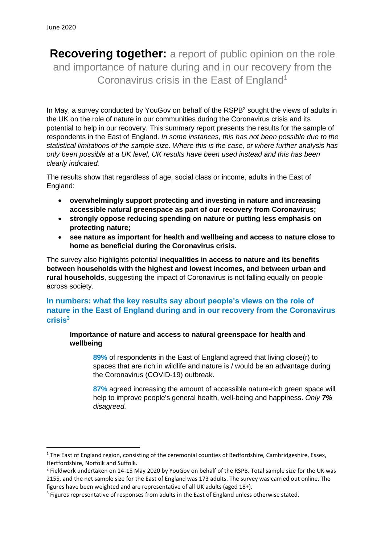**Recovering together:** a report of public opinion on the role and importance of nature during and in our recovery from the Coronavirus crisis in the East of England<sup>1</sup>

In May, a survey conducted by YouGoy on behalf of the RSPB<sup>2</sup> sought the views of adults in the UK on the role of nature in our communities during the Coronavirus crisis and its potential to help in our recovery. This summary report presents the results for the sample of respondents in the East of England. *In some instances, this has not been possible due to the statistical limitations of the sample size. Where this is the case, or where further analysis has only been possible at a UK level, UK results have been used instead and this has been clearly indicated.*

The results show that regardless of age, social class or income, adults in the East of England:

- **overwhelmingly support protecting and investing in nature and increasing accessible natural greenspace as part of our recovery from Coronavirus;**
- **strongly oppose reducing spending on nature or putting less emphasis on protecting nature;**
- **see nature as important for health and wellbeing and access to nature close to home as beneficial during the Coronavirus crisis.**

The survey also highlights potential **inequalities in access to nature and its benefits between households with the highest and lowest incomes, and between urban and rural households**, suggesting the impact of Coronavirus is not falling equally on people across society.

# **In numbers: what the key results say about people's views on the role of nature in the East of England during and in our recovery from the Coronavirus crisis 3**

**Importance of nature and access to natural greenspace for health and wellbeing**

**89%** of respondents in the East of England agreed that living close(r) to spaces that are rich in wildlife and nature is / would be an advantage during the Coronavirus (COVID-19) outbreak.

**87%** agreed increasing the amount of accessible nature-rich green space will help to improve people's general health, well-being and happiness. *Only 7% disagreed.*

<sup>&</sup>lt;sup>1</sup> The East of England region, consisting of the ceremonial counties of Bedfordshire, Cambridgeshire, Essex, Hertfordshire, Norfolk and Suffolk.

<sup>&</sup>lt;sup>2</sup> Fieldwork undertaken on 14-15 May 2020 by YouGov on behalf of the RSPB. Total sample size for the UK was 2155, and the net sample size for the East of England was 173 adults. The survey was carried out online. The figures have been weighted and are representative of all UK adults (aged 18+).

<sup>&</sup>lt;sup>3</sup> Figures representative of responses from adults in the East of England unless otherwise stated.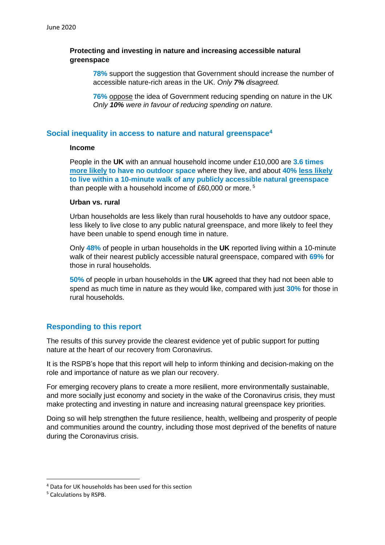### **Protecting and investing in nature and increasing accessible natural greenspace**

**78%** support the suggestion that Government should increase the number of accessible nature-rich areas in the UK. *Only 7% disagreed.*

**76%** oppose the idea of Government reducing spending on nature in the UK *Only 10% were in favour of reducing spending on nature.*

### **Social inequality in access to nature and natural greenspace<sup>4</sup>**

#### **Income**

People in the **UK** with an annual household income under £10,000 are **3.6 times more likely to have no outdoor space** where they live, and about **40% less likely to live within a 10-minute walk of any publicly accessible natural greenspace** than people with a household income of £60,000 or more. <sup>5</sup>

### **Urban vs. rural**

Urban households are less likely than rural households to have any outdoor space, less likely to live close to any public natural greenspace, and more likely to feel they have been unable to spend enough time in nature.

Only **48%** of people in urban households in the **UK** reported living within a 10-minute walk of their nearest publicly accessible natural greenspace, compared with **69%** for those in rural households.

**50%** of people in urban households in the **UK** agreed that they had not been able to spend as much time in nature as they would like, compared with just **30%** for those in rural households.

## **Responding to this report**

The results of this survey provide the clearest evidence yet of public support for putting nature at the heart of our recovery from Coronavirus.

It is the RSPB's hope that this report will help to inform thinking and decision-making on the role and importance of nature as we plan our recovery.

For emerging recovery plans to create a more resilient, more environmentally sustainable, and more socially just economy and society in the wake of the Coronavirus crisis, they must make protecting and investing in nature and increasing natural greenspace key priorities.

Doing so will help strengthen the future resilience, health, wellbeing and prosperity of people and communities around the country, including those most deprived of the benefits of nature during the Coronavirus crisis.

<sup>4</sup> Data for UK households has been used for this section

<sup>5</sup> Calculations by RSPB.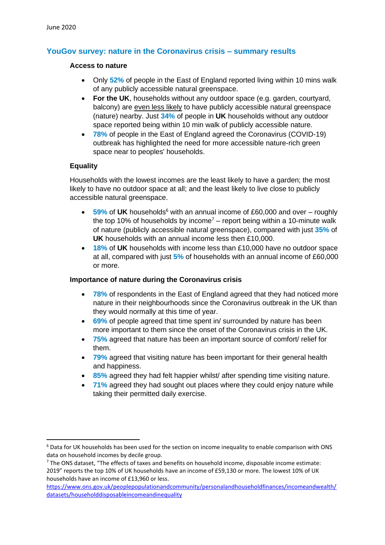# **YouGov survey: nature in the Coronavirus crisis – summary results**

#### **Access to nature**

- Only **52%** of people in the East of England reported living within 10 mins walk of any publicly accessible natural greenspace.
- **For the UK**, households without any outdoor space (e.g. garden, courtyard, balcony) are even less likely to have publicly accessible natural greenspace (nature) nearby. Just **34%** of people in **UK** households without any outdoor space reported being within 10 min walk of publicly accessible nature.
- **78%** of people in the East of England agreed the Coronavirus (COVID-19) outbreak has highlighted the need for more accessible nature-rich green space near to peoples' households.

### **Equality**

Households with the lowest incomes are the least likely to have a garden; the most likely to have no outdoor space at all; and the least likely to live close to publicly accessible natural greenspace.

- 59% of UK households<sup>6</sup> with an annual income of £60,000 and over roughly the top 10% of households by income<sup>7</sup> – report being within a 10-minute walk of nature (publicly accessible natural greenspace), compared with just **35%** of **UK** households with an annual income less then £10,000.
- **18%** of **UK** households with income less than £10,000 have no outdoor space at all, compared with just **5%** of households with an annual income of £60,000 or more.

### **Importance of nature during the Coronavirus crisis**

- **78%** of respondents in the East of England agreed that they had noticed more nature in their neighbourhoods since the Coronavirus outbreak in the UK than they would normally at this time of year.
- **69%** of people agreed that time spent in/ surrounded by nature has been more important to them since the onset of the Coronavirus crisis in the UK.
- **75%** agreed that nature has been an important source of comfort/ relief for them.
- **79%** agreed that visiting nature has been important for their general health and happiness.
- **85%** agreed they had felt happier whilst/ after spending time visiting nature.
- **71%** agreed they had sought out places where they could enjoy nature while taking their permitted daily exercise.

<sup>&</sup>lt;sup>6</sup> Data for UK households has been used for the section on income inequality to enable comparison with ONS data on household incomes by decile group.

 $7$  The ONS dataset, "The effects of taxes and benefits on household income, disposable income estimate: 2019" reports the top 10% of UK households have an income of £59,130 or more. The lowest 10% of UK households have an income of £13,960 or less.

[https://www.ons.gov.uk/peoplepopulationandcommunity/personalandhouseholdfinances/incomeandwealth/](https://www.ons.gov.uk/peoplepopulationandcommunity/personalandhouseholdfinances/incomeandwealth/datasets/householddisposableincomeandinequality) [datasets/householddisposableincomeandinequality](https://www.ons.gov.uk/peoplepopulationandcommunity/personalandhouseholdfinances/incomeandwealth/datasets/householddisposableincomeandinequality)